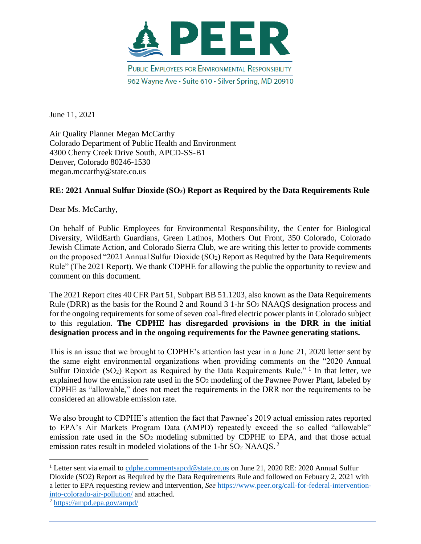

June 11, 2021

Air Quality Planner Megan McCarthy Colorado Department of Public Health and Environment 4300 Cherry Creek Drive South, APCD-SS-B1 Denver, Colorado 80246-1530 megan.mccarthy@state.co.us

### **RE: 2021 Annual Sulfur Dioxide (SO2) Report as Required by the Data Requirements Rule**

Dear Ms. McCarthy,

On behalf of Public Employees for Environmental Responsibility, the Center for Biological Diversity, WildEarth Guardians, Green Latinos, Mothers Out Front, 350 Colorado, Colorado Jewish Climate Action, and Colorado Sierra Club, we are writing this letter to provide comments on the proposed "2021 Annual Sulfur Dioxide (SO2) Report as Required by the Data Requirements Rule" (The 2021 Report). We thank CDPHE for allowing the public the opportunity to review and comment on this document.

The 2021 Report cites 40 CFR Part 51, Subpart BB 51.1203, also known as the Data Requirements Rule (DRR) as the basis for the Round 2 and Round 3 1-hr SO<sup>2</sup> NAAQS designation process and for the ongoing requirements for some of seven coal-fired electric power plants in Colorado subject to this regulation. **The CDPHE has disregarded provisions in the DRR in the initial designation process and in the ongoing requirements for the Pawnee generating stations.**

This is an issue that we brought to CDPHE's attention last year in a June 21, 2020 letter sent by the same eight environmental organizations when providing comments on the "2020 Annual Sulfur Dioxide (SO<sub>2</sub>) Report as Required by the Data Requirements Rule."<sup>1</sup> In that letter, we explained how the emission rate used in the  $SO<sub>2</sub>$  modeling of the Pawnee Power Plant, labeled by CDPHE as "allowable," does not meet the requirements in the DRR nor the requirements to be considered an allowable emission rate.

We also brought to CDPHE's attention the fact that Pawnee's 2019 actual emission rates reported to EPA's Air Markets Program Data (AMPD) repeatedly exceed the so called "allowable" emission rate used in the  $SO<sub>2</sub>$  modeling submitted by CDPHE to EPA, and that those actual emission rates result in modeled violations of the 1-hr SO<sub>2</sub> NAAQS.<sup>2</sup>

<sup>&</sup>lt;sup>1</sup> Letter sent via email to [cdphe.commentsapcd@state.co.us](mailto:cdphe.commentsapcd@state.co.us) on June 21, 2020 RE: 2020 Annual Sulfur Dioxide (SO2) Report as Required by the Data Requirements Rule and followed on Febuary 2, 2021 with a letter to EPA requesting review and intervention, *See* [https://www.peer.org/call-for-federal-intervention](https://www.peer.org/call-for-federal-intervention-into-colorado-air-pollution/)[into-colorado-air-pollution/](https://www.peer.org/call-for-federal-intervention-into-colorado-air-pollution/) and attached.

<sup>2</sup> <https://ampd.epa.gov/ampd/>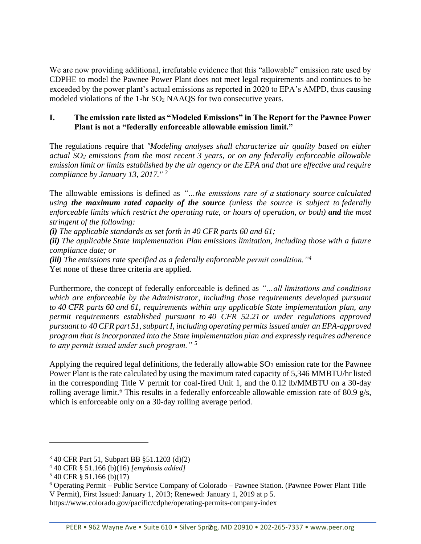We are now providing additional, irrefutable evidence that this "allowable" emission rate used by CDPHE to model the Pawnee Power Plant does not meet legal requirements and continues to be exceeded by the power plant's actual emissions as reported in 2020 to EPA's AMPD, thus causing modeled violations of the 1-hr SO<sub>2</sub> NAAQS for two consecutive years.

### **I. The emission rate listed as "Modeled Emissions" in The Report for the Pawnee Power Plant is not a "federally enforceable allowable emission limit."**

The regulations require that *"Modeling analyses shall characterize air quality based on either actual SO<sup>2</sup> emissions from the most recent 3 years, or on any federally enforceable allowable emission limit or limits established by the air agency or the EPA and that are effective and require compliance by January 13, 2017." <sup>3</sup>* 

The allowable emissions is defined as *"…the emissions rate of a stationary source calculated using the maximum rated capacity of the source (unless the source is subject to federally enforceable limits which restrict the operating rate, or hours of operation, or both) and the most stringent of the following:*

*(i) The applicable standards as set forth in 40 CFR parts 60 and 61;*

*(ii) The applicable State Implementation Plan emissions limitation, including those with a future compliance date; or*

*(iii) The emissions rate specified as a federally enforceable permit condition."<sup>4</sup>*

Yet none of these three criteria are applied.

Furthermore, the concept of federally enforceable is defined as *"…all limitations and conditions which are enforceable by the Administrator, including those requirements developed pursuant to 40 CFR parts 60 and 61, requirements within any applicable State implementation plan, any permit requirements established pursuant to 40 CFR 52.21 or under regulations approved pursuant to 40 CFR part 51, subpart I, including operating permits issued under an EPA-approved program that is incorporated into the State implementation plan and expressly requires adherence to any permit issued under such program."* <sup>5</sup>

Applying the required legal definitions, the federally allowable  $SO<sub>2</sub>$  emission rate for the Pawnee Power Plant is the rate calculated by using the maximum rated capacity of 5,346 MMBTU/hr listed in the corresponding Title V permit for coal-fired Unit 1, and the 0.12 lb/MMBTU on a 30-day rolling average limit.<sup>6</sup> This results in a federally enforceable allowable emission rate of 80.9 g/s, which is enforceable only on a 30-day rolling average period.

<sup>3</sup> 40 CFR Part 51, Subpart BB §51.1203 (d)(2)

<sup>4</sup> 40 CFR § 51.166 (b)(16) *[emphasis added]*

 $540$  CFR § 51.166 (b)(17)

<sup>6</sup> Operating Permit – Public Service Company of Colorado – Pawnee Station. (Pawnee Power Plant Title V Permit), First Issued: January 1, 2013; Renewed: January 1, 2019 at p 5.

https://www.colorado.gov/pacific/cdphe/operating-permits-company-index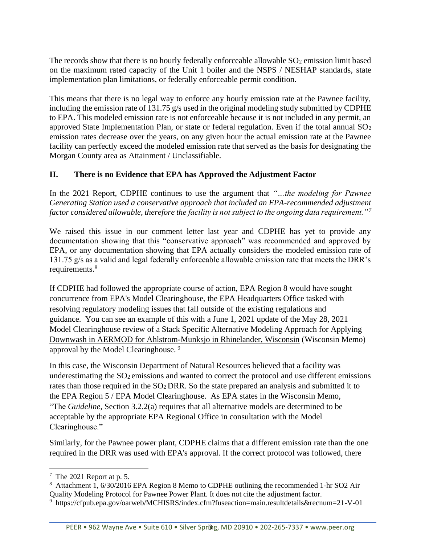The records show that there is no hourly federally enforceable allowable  $SO<sub>2</sub>$  emission limit based on the maximum rated capacity of the Unit 1 boiler and the NSPS / NESHAP standards, state implementation plan limitations, or federally enforceable permit condition.

This means that there is no legal way to enforce any hourly emission rate at the Pawnee facility, including the emission rate of 131.75 g/s used in the original modeling study submitted by CDPHE to EPA. This modeled emission rate is not enforceable because it is not included in any permit, an approved State Implementation Plan, or state or federal regulation. Even if the total annual  $SO<sub>2</sub>$ emission rates decrease over the years, on any given hour the actual emission rate at the Pawnee facility can perfectly exceed the modeled emission rate that served as the basis for designating the Morgan County area as Attainment / Unclassifiable.

### **II. There is no Evidence that EPA has Approved the Adjustment Factor**

In the 2021 Report, CDPHE continues to use the argument that *"…the modeling for Pawnee Generating Station used a conservative approach that included an EPA-recommended adjustment factor considered allowable, therefore the facility is not subject to the ongoing data requirement."<sup>7</sup>*

We raised this issue in our comment letter last year and CDPHE has yet to provide any documentation showing that this "conservative approach" was recommended and approved by EPA, or any documentation showing that EPA actually considers the modeled emission rate of 131.75 g/s as a valid and legal federally enforceable allowable emission rate that meets the DRR's requirements.<sup>8</sup>

If CDPHE had followed the appropriate course of action, EPA Region 8 would have sought concurrence from EPA's Model Clearinghouse, the EPA Headquarters Office tasked with resolving regulatory modeling issues that fall outside of the existing regulations and guidance. You can see an example of this with a June 1, 2021 update of the May 28, 2021 Model Clearinghouse review of a Stack Specific Alternative Modeling Approach for Applying Downwash in AERMOD for Ahlstrom-Munksjo in Rhinelander, Wisconsin (Wisconsin Memo) approval by the Model Clearinghouse. <sup>9</sup>

In this case, the Wisconsin Department of Natural Resources believed that a facility was underestimating the SO<sub>2</sub> emissions and wanted to correct the protocol and use different emissions rates than those required in the SO<sup>2</sup> DRR. So the state prepared an analysis and submitted it to the EPA Region 5 / EPA Model Clearinghouse. As EPA states in the Wisconsin Memo, "The *Guideline*, Section 3.2.2(a) requires that all alternative models are determined to be acceptable by the appropriate EPA Regional Office in consultation with the Model Clearinghouse."

Similarly, for the Pawnee power plant, CDPHE claims that a different emission rate than the one required in the DRR was used with EPA's approval. If the correct protocol was followed, there

 $7$  The 2021 Report at p. 5.

<sup>&</sup>lt;sup>8</sup> Attachment 1, 6/30/2016 EPA Region 8 Memo to CDPHE outlining the recommended 1-hr SO2 Air Quality Modeling Protocol for Pawnee Power Plant. It does not cite the adjustment factor.

<sup>&</sup>lt;sup>9</sup> https://cfpub.epa.gov/oarweb/MCHISRS/index.cfm?fuseaction=main.resultdetails&recnum=21-V-01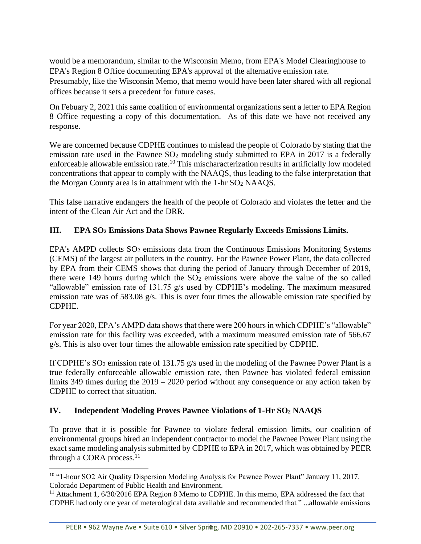would be a memorandum, similar to the Wisconsin Memo, from EPA's Model Clearinghouse to EPA's Region 8 Office documenting EPA's approval of the alternative emission rate.

Presumably, like the Wisconsin Memo, that memo would have been later shared with all regional offices because it sets a precedent for future cases.

On Febuary 2, 2021 this same coalition of environmental organizations sent a letter to EPA Region 8 Office requesting a copy of this documentation. As of this date we have not received any response.

We are concerned because CDPHE continues to mislead the people of Colorado by stating that the emission rate used in the Pawnee  $SO_2$  modeling study submitted to EPA in 2017 is a federally enforceable allowable emission rate.<sup>10</sup> This mischaracterization results in artificially low modeled concentrations that appear to comply with the NAAQS, thus leading to the false interpretation that the Morgan County area is in attainment with the 1-hr SO<sup>2</sup> NAAQS.

This false narrative endangers the health of the people of Colorado and violates the letter and the intent of the Clean Air Act and the DRR.

# **III. EPA SO<sup>2</sup> Emissions Data Shows Pawnee Regularly Exceeds Emissions Limits.**

EPA's AMPD collects SO<sub>2</sub> emissions data from the Continuous Emissions Monitoring Systems (CEMS) of the largest air polluters in the country. For the Pawnee Power Plant, the data collected by EPA from their CEMS shows that during the period of January through December of 2019, there were 149 hours during which the  $SO<sub>2</sub>$  emissions were above the value of the so called "allowable" emission rate of 131.75 g/s used by CDPHE's modeling. The maximum measured emission rate was of 583.08 g/s. This is over four times the allowable emission rate specified by CDPHE.

For year 2020, EPA's AMPD data shows that there were 200 hours in which CDPHE's "allowable" emission rate for this facility was exceeded, with a maximum measured emission rate of 566.67 g/s. This is also over four times the allowable emission rate specified by CDPHE.

If CDPHE's  $SO_2$  emission rate of 131.75 g/s used in the modeling of the Pawnee Power Plant is a true federally enforceable allowable emission rate, then Pawnee has violated federal emission limits 349 times during the 2019 – 2020 period without any consequence or any action taken by CDPHE to correct that situation.

### **IV. Independent Modeling Proves Pawnee Violations of 1-Hr SO<sup>2</sup> NAAQS**

To prove that it is possible for Pawnee to violate federal emission limits, our coalition of environmental groups hired an independent contractor to model the Pawnee Power Plant using the exact same modeling analysis submitted by CDPHE to EPA in 2017, which was obtained by PEER through a CORA process. $11$ 

<sup>&</sup>lt;sup>10</sup> "1-hour SO2 Air Quality Dispersion Modeling Analysis for Pawnee Power Plant" January 11, 2017. Colorado Department of Public Health and Environment.

<sup>&</sup>lt;sup>11</sup> Attachment 1, 6/30/2016 EPA Region 8 Memo to CDPHE. In this memo, EPA addressed the fact that CDPHE had only one year of meterological data available and recommended that " ...allowable emissions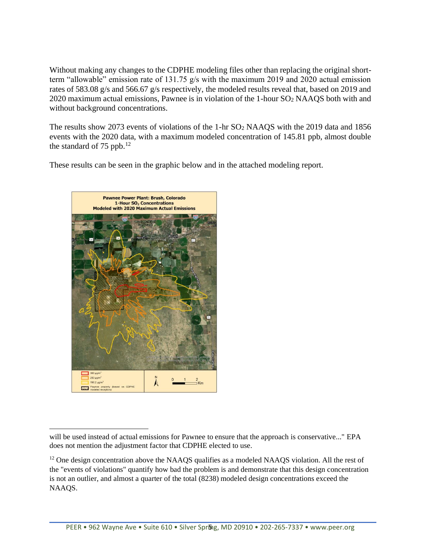Without making any changes to the CDPHE modeling files other than replacing the original shortterm "allowable" emission rate of 131.75 g/s with the maximum 2019 and 2020 actual emission rates of 583.08 g/s and 566.67 g/s respectively, the modeled results reveal that, based on 2019 and 2020 maximum actual emissions, Pawnee is in violation of the 1-hour SO<sup>2</sup> NAAQS both with and without background concentrations.

The results show 2073 events of violations of the 1-hr SO<sub>2</sub> NAAQS with the 2019 data and 1856 events with the 2020 data, with a maximum modeled concentration of 145.81 ppb, almost double the standard of 75 ppb. $^{12}$ 

These results can be seen in the graphic below and in the attached modeling report.



will be used instead of actual emissions for Pawnee to ensure that the approach is conservative..." EPA does not mention the adjustment factor that CDPHE elected to use.

<sup>&</sup>lt;sup>12</sup> One design concentration above the NAAQS qualifies as a modeled NAAQS violation. All the rest of the "events of violations" quantify how bad the problem is and demonstrate that this design concentration is not an outlier, and almost a quarter of the total (8238) modeled design concentrations exceed the NAAQS.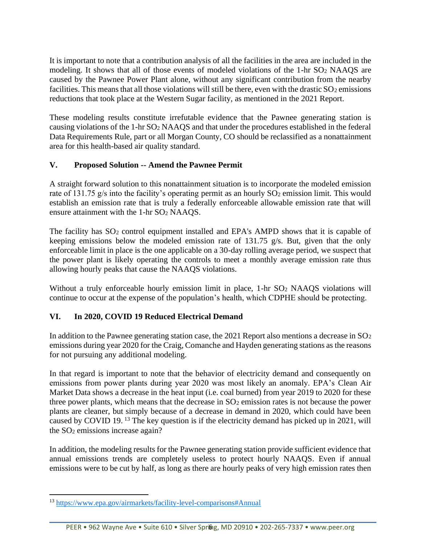It is important to note that a contribution analysis of all the facilities in the area are included in the modeling. It shows that all of those events of modeled violations of the 1-hr SO<sup>2</sup> NAAQS are caused by the Pawnee Power Plant alone, without any significant contribution from the nearby facilities. This means that all those violations will still be there, even with the drastic  $SO_2$  emissions reductions that took place at the Western Sugar facility, as mentioned in the 2021 Report.

These modeling results constitute irrefutable evidence that the Pawnee generating station is causing violations of the 1-hr SO<sup>2</sup> NAAQS and that under the procedures established in the federal Data Requirements Rule, part or all Morgan County, CO should be reclassified as a nonattainment area for this health-based air quality standard.

### **V. Proposed Solution -- Amend the Pawnee Permit**

A straight forward solution to this nonattainment situation is to incorporate the modeled emission rate of 131.75  $g/s$  into the facility's operating permit as an hourly  $SO<sub>2</sub>$  emission limit. This would establish an emission rate that is truly a federally enforceable allowable emission rate that will ensure attainment with the 1-hr SO<sup>2</sup> NAAQS.

The facility has  $SO_2$  control equipment installed and EPA's AMPD shows that it is capable of keeping emissions below the modeled emission rate of 131.75 g/s. But, given that the only enforceable limit in place is the one applicable on a 30-day rolling average period, we suspect that the power plant is likely operating the controls to meet a monthly average emission rate thus allowing hourly peaks that cause the NAAQS violations.

Without a truly enforceable hourly emission limit in place, 1-hr SO<sub>2</sub> NAAQS violations will continue to occur at the expense of the population's health, which CDPHE should be protecting.

# **VI. In 2020, COVID 19 Reduced Electrical Demand**

In addition to the Pawnee generating station case, the 2021 Report also mentions a decrease in SO<sub>2</sub> emissions during year 2020 for the Craig, Comanche and Hayden generating stations as the reasons for not pursuing any additional modeling.

In that regard is important to note that the behavior of electricity demand and consequently on emissions from power plants during year 2020 was most likely an anomaly. EPA's Clean Air Market Data shows a decrease in the heat input (i.e. coal burned) from year 2019 to 2020 for these three power plants, which means that the decrease in  $SO<sub>2</sub>$  emission rates is not because the power plants are cleaner, but simply because of a decrease in demand in 2020, which could have been caused by COVID 19.<sup>13</sup> The key question is if the electricity demand has picked up in 2021, will the SO<sup>2</sup> emissions increase again?

In addition, the modeling results for the Pawnee generating station provide sufficient evidence that annual emissions trends are completely useless to protect hourly NAAQS. Even if annual emissions were to be cut by half, as long as there are hourly peaks of very high emission rates then

<sup>13</sup> <https://www.epa.gov/airmarkets/facility-level-comparisons#Annual>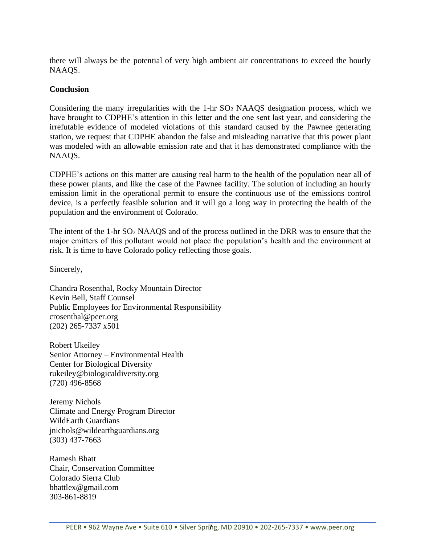there will always be the potential of very high ambient air concentrations to exceed the hourly NAAQS.

#### **Conclusion**

Considering the many irregularities with the 1-hr SO<sup>2</sup> NAAQS designation process, which we have brought to CDPHE's attention in this letter and the one sent last year, and considering the irrefutable evidence of modeled violations of this standard caused by the Pawnee generating station, we request that CDPHE abandon the false and misleading narrative that this power plant was modeled with an allowable emission rate and that it has demonstrated compliance with the NAAQS.

CDPHE's actions on this matter are causing real harm to the health of the population near all of these power plants, and like the case of the Pawnee facility. The solution of including an hourly emission limit in the operational permit to ensure the continuous use of the emissions control device, is a perfectly feasible solution and it will go a long way in protecting the health of the population and the environment of Colorado.

The intent of the 1-hr SO<sup>2</sup> NAAQS and of the process outlined in the DRR was to ensure that the major emitters of this pollutant would not place the population's health and the environment at risk. It is time to have Colorado policy reflecting those goals.

Sincerely,

Chandra Rosenthal, Rocky Mountain Director Kevin Bell, Staff Counsel Public Employees for Environmental Responsibility crosenthal@peer.org (202) 265-7337 x501

Robert Ukeiley Senior Attorney – Environmental Health Center for Biological Diversity rukeiley@biologicaldiversity.org (720) 496-8568

Jeremy Nichols Climate and Energy Program Director WildEarth Guardians jnichols@wildearthguardians.org (303) 437-7663

Ramesh Bhatt Chair, Conservation Committee Colorado Sierra Club bhattlex@gmail.com 303-861-8819